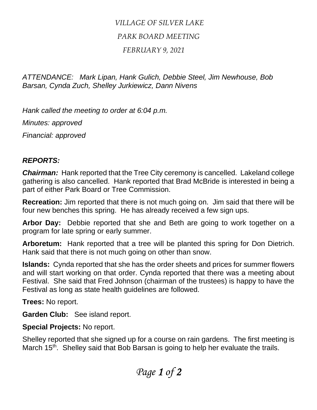## *VILLAGE OF SILVER LAKE PARK BOARD MEETING*

## *FEBRUARY 9, 2021*

*ATTENDANCE: Mark Lipan, Hank Gulich, Debbie Steel, Jim Newhouse, Bob Barsan, Cynda Zuch, Shelley Jurkiewicz, Dann Nivens*

*Hank called the meeting to order at 6:04 p.m.*

*Minutes: approved*

*Financial: approved*

## *REPORTS:*

*Chairman:* Hank reported that the Tree City ceremony is cancelled. Lakeland college gathering is also cancelled. Hank reported that Brad McBride is interested in being a part of either Park Board or Tree Commission.

**Recreation:** Jim reported that there is not much going on. Jim said that there will be four new benches this spring. He has already received a few sign ups.

**Arbor Day:** Debbie reported that she and Beth are going to work together on a program for late spring or early summer.

**Arboretum:** Hank reported that a tree will be planted this spring for Don Dietrich. Hank said that there is not much going on other than snow.

**Islands:** Cynda reported that she has the order sheets and prices for summer flowers and will start working on that order. Cynda reported that there was a meeting about Festival. She said that Fred Johnson (chairman of the trustees) is happy to have the Festival as long as state health guidelines are followed.

**Trees:** No report.

**Garden Club:** See island report.

**Special Projects:** No report.

Shelley reported that she signed up for a course on rain gardens. The first meeting is March 15<sup>th</sup>. Shelley said that Bob Barsan is going to help her evaluate the trails.